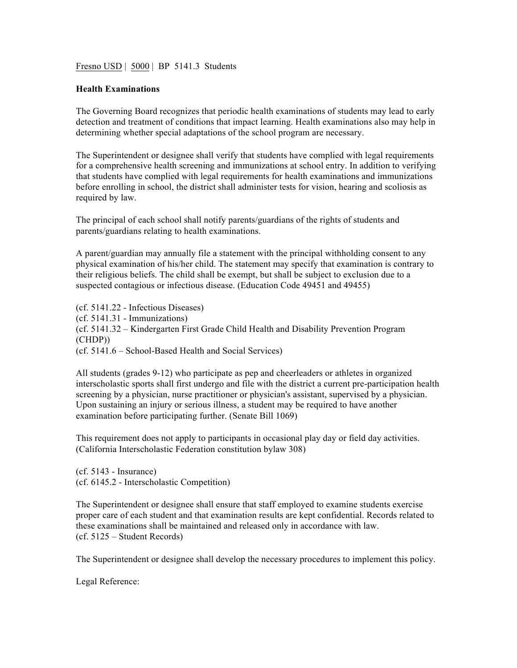Fresno USD | 5000 | BP 5141.3 Students

## **Health Examinations**

The Governing Board recognizes that periodic health examinations of students may lead to early detection and treatment of conditions that impact learning. Health examinations also may help in determining whether special adaptations of the school program are necessary.

The Superintendent or designee shall verify that students have complied with legal requirements for a comprehensive health screening and immunizations at school entry. In addition to verifying that students have complied with legal requirements for health examinations and immunizations before enrolling in school, the district shall administer tests for vision, hearing and scoliosis as required by law.

The principal of each school shall notify parents/guardians of the rights of students and parents/guardians relating to health examinations.

A parent/guardian may annually file a statement with the principal withholding consent to any physical examination of his/her child. The statement may specify that examination is contrary to their religious beliefs. The child shall be exempt, but shall be subject to exclusion due to a suspected contagious or infectious disease. (Education Code 49451 and 49455)

(cf. 5141.22 - Infectious Diseases) (cf. 5141.31 - Immunizations) (cf. 5141.32 – Kindergarten First Grade Child Health and Disability Prevention Program (CHDP)) (cf. 5141.6 – School-Based Health and Social Services)

All students (grades 9-12) who participate as pep and cheerleaders or athletes in organized interscholastic sports shall first undergo and file with the district a current pre-participation health screening by a physician, nurse practitioner or physician's assistant, supervised by a physician. Upon sustaining an injury or serious illness, a student may be required to have another examination before participating further. (Senate Bill 1069)

This requirement does not apply to participants in occasional play day or field day activities. (California Interscholastic Federation constitution bylaw 308)

(cf. 5143 - Insurance) (cf. 6145.2 - Interscholastic Competition)

The Superintendent or designee shall ensure that staff employed to examine students exercise proper care of each student and that examination results are kept confidential. Records related to these examinations shall be maintained and released only in accordance with law. (cf. 5125 – Student Records)

The Superintendent or designee shall develop the necessary procedures to implement this policy.

Legal Reference: